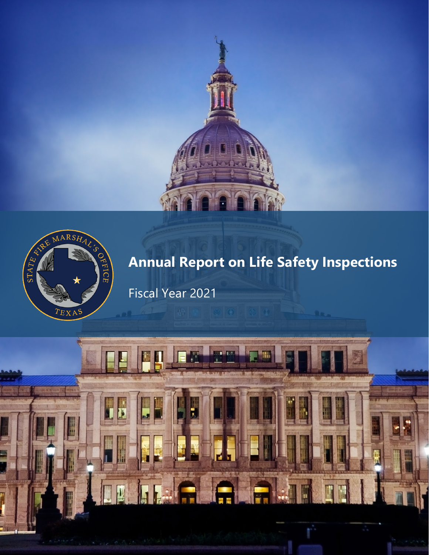



# **Annual Report on Life Safety Inspections**

Fiscal Year 2021

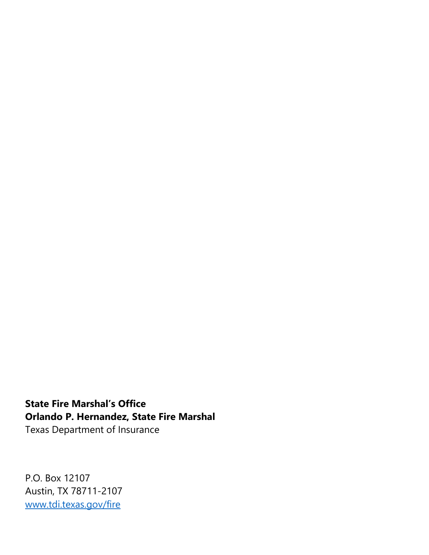**State Fire Marshal's Office Orlando P. Hernandez, State Fire Marshal** Texas Department of Insurance

P.O. Box 12107 Austin, TX 78711-2107 [www.tdi.texas.gov/fire](http://www.tdi.texas.gov/fire)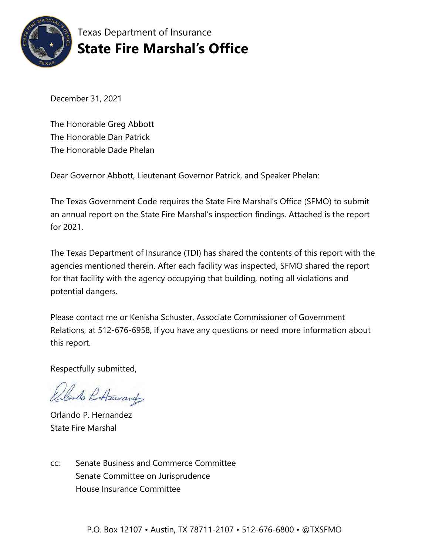

Texas Department of Insurance **State Fire Marshal's Office**

December 31, 2021

The Honorable Greg Abbott The Honorable Dan Patrick The Honorable Dade Phelan

Dear Governor Abbott, Lieutenant Governor Patrick, and Speaker Phelan:

The Texas Government Code requires the State Fire Marshal's Office (SFMO) to submit an annual report on the State Fire Marshal's inspection findings. Attached is the report for 2021.

The Texas Department of Insurance (TDI) has shared the contents of this report with the agencies mentioned therein. After each facility was inspected, SFMO shared the report for that facility with the agency occupying that building, noting all violations and potential dangers.

Please contact me or Kenisha Schuster, Associate Commissioner of Government Relations, at 512-676-6958, if you have any questions or need more information about this report.

Respectfully submitted,

lando PA Eurander

Orlando P. Hernandez State Fire Marshal

cc: Senate Business and Commerce Committee Senate Committee on Jurisprudence House Insurance Committee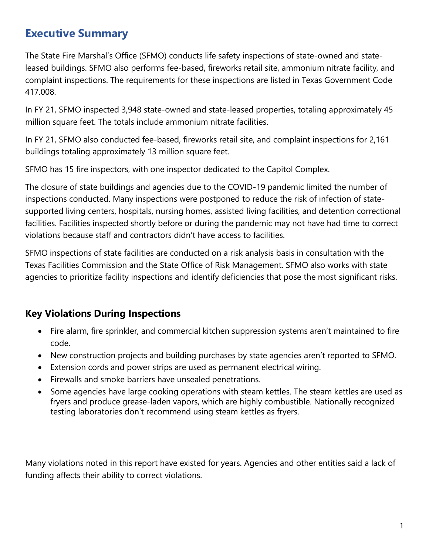# **Executive Summary**

The State Fire Marshal's Office (SFMO) conducts life safety inspections of state-owned and stateleased buildings. SFMO also performs fee-based, fireworks retail site, ammonium nitrate facility, and complaint inspections. The requirements for these inspections are listed in Texas Government Code 417.008.

In FY 21, SFMO inspected 3,948 state-owned and state-leased properties, totaling approximately 45 million square feet. The totals include ammonium nitrate facilities.

In FY 21, SFMO also conducted fee-based, fireworks retail site, and complaint inspections for 2,161 buildings totaling approximately 13 million square feet.

SFMO has 15 fire inspectors, with one inspector dedicated to the Capitol Complex.

The closure of state buildings and agencies due to the COVID-19 pandemic limited the number of inspections conducted. Many inspections were postponed to reduce the risk of infection of statesupported living centers, hospitals, nursing homes, assisted living facilities, and detention correctional facilities. Facilities inspected shortly before or during the pandemic may not have had time to correct violations because staff and contractors didn't have access to facilities.

SFMO inspections of state facilities are conducted on a risk analysis basis in consultation with the Texas Facilities Commission and the State Office of Risk Management. SFMO also works with state agencies to prioritize facility inspections and identify deficiencies that pose the most significant risks.

# **Key Violations During Inspections**

- Fire alarm, fire sprinkler, and commercial kitchen suppression systems aren't maintained to fire code.
- New construction projects and building purchases by state agencies aren't reported to SFMO.
- Extension cords and power strips are used as permanent electrical wiring.
- Firewalls and smoke barriers have unsealed penetrations.
- Some agencies have large cooking operations with steam kettles. The steam kettles are used as fryers and produce grease-laden vapors, which are highly combustible. Nationally recognized testing laboratories don't recommend using steam kettles as fryers.

Many violations noted in this report have existed for years. Agencies and other entities said a lack of funding affects their ability to correct violations.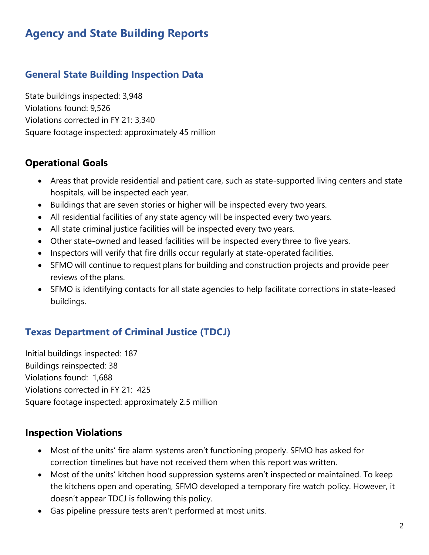# **Agency and State Building Reports**

# **General State Building Inspection Data**

State buildings inspected: 3,948 Violations found: 9,526 Violations corrected in FY 21: 3,340 Square footage inspected: approximately 45 million

#### **Operational Goals**

- Areas that provide residential and patient care, such as state-supported living centers and state hospitals, will be inspected each year.
- Buildings that are seven stories or higher will be inspected every two years.
- All residential facilities of any state agency will be inspected every two years.
- All state criminal justice facilities will be inspected every two years.
- Other state-owned and leased facilities will be inspected every three to five years.
- Inspectors will verify that fire drills occur regularly at state-operated facilities.
- SFMO will continue to request plans for building and construction projects and provide peer reviews of the plans.
- SFMO is identifying contacts for all state agencies to help facilitate corrections in state-leased buildings.

# **Texas Department of Criminal Justice (TDCJ)**

Initial buildings inspected: 187 Buildings reinspected: 38 Violations found: 1,688 Violations corrected in FY 21: 425 Square footage inspected: approximately 2.5 million

### **Inspection Violations**

- Most of the units' fire alarm systems aren't functioning properly. SFMO has asked for correction timelines but have not received them when this report was written.
- Most of the units' kitchen hood suppression systems aren't inspected or maintained. To keep the kitchens open and operating, SFMO developed a temporary fire watch policy. However, it doesn't appear TDCJ is following this policy.
- Gas pipeline pressure tests aren't performed at most units.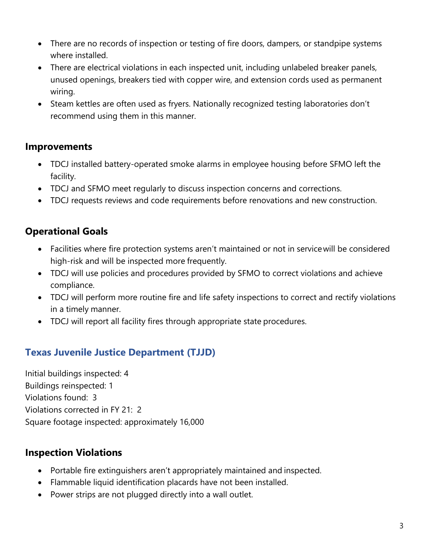- There are no records of inspection or testing of fire doors, dampers, or standpipe systems where installed.
- There are electrical violations in each inspected unit, including unlabeled breaker panels, unused openings, breakers tied with copper wire, and extension cords used as permanent wiring.
- Steam kettles are often used as fryers. Nationally recognized testing laboratories don't recommend using them in this manner.

### **Improvements**

- TDCJ installed battery-operated smoke alarms in employee housing before SFMO left the facility.
- TDCJ and SFMO meet regularly to discuss inspection concerns and corrections.
- TDCJ requests reviews and code requirements before renovations and new construction.

# **Operational Goals**

- Facilities where fire protection systems aren't maintained or not in servicewill be considered high-risk and will be inspected more frequently.
- TDCJ will use policies and procedures provided by SFMO to correct violations and achieve compliance.
- TDCJ will perform more routine fire and life safety inspections to correct and rectify violations in a timely manner.
- TDCJ will report all facility fires through appropriate state procedures.

# **Texas Juvenile Justice Department (TJJD)**

Initial buildings inspected: 4 Buildings reinspected: 1 Violations found: 3 Violations corrected in FY 21: 2 Square footage inspected: approximately 16,000

### **Inspection Violations**

- Portable fire extinguishers aren't appropriately maintained and inspected.
- Flammable liquid identification placards have not been installed.
- Power strips are not plugged directly into a wall outlet.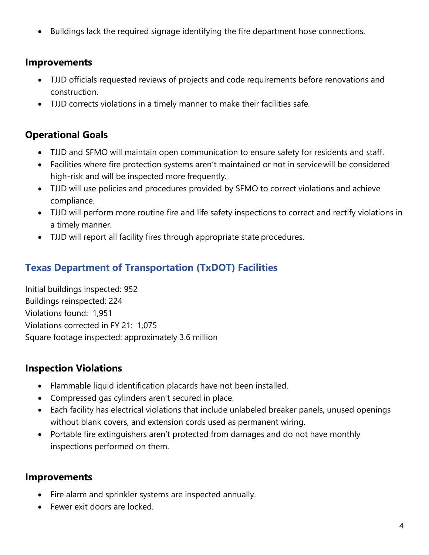• Buildings lack the required signage identifying the fire department hose connections.

### **Improvements**

- TJJD officials requested reviews of projects and code requirements before renovations and construction.
- TJJD corrects violations in a timely manner to make their facilities safe.

# **Operational Goals**

- TJJD and SFMO will maintain open communication to ensure safety for residents and staff.
- Facilities where fire protection systems aren't maintained or not in servicewill be considered high-risk and will be inspected more frequently.
- TJJD will use policies and procedures provided by SFMO to correct violations and achieve compliance.
- TJJD will perform more routine fire and life safety inspections to correct and rectify violations in a timely manner.
- TJJD will report all facility fires through appropriate state procedures.

# **Texas Department of Transportation (TxDOT) Facilities**

Initial buildings inspected: 952 Buildings reinspected: 224 Violations found: 1,951 Violations corrected in FY 21: 1,075 Square footage inspected: approximately 3.6 million

# **Inspection Violations**

- Flammable liquid identification placards have not been installed.
- Compressed gas cylinders aren't secured in place.
- Each facility has electrical violations that include unlabeled breaker panels, unused openings without blank covers, and extension cords used as permanent wiring.
- Portable fire extinguishers aren't protected from damages and do not have monthly inspections performed on them.

### **Improvements**

- Fire alarm and sprinkler systems are inspected annually.
- Fewer exit doors are locked.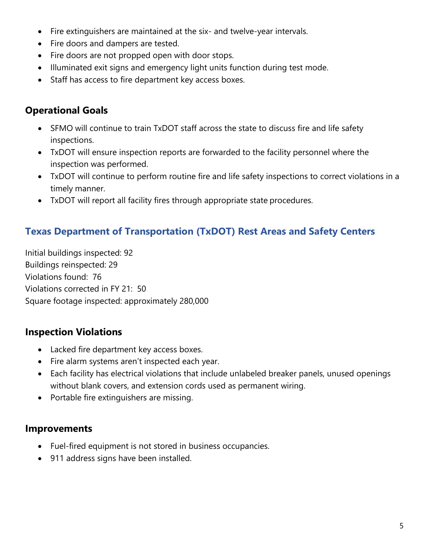- Fire extinguishers are maintained at the six- and twelve-year intervals.
- Fire doors and dampers are tested.
- Fire doors are not propped open with door stops.
- Illuminated exit signs and emergency light units function during test mode.
- Staff has access to fire department key access boxes.

# **Operational Goals**

- SFMO will continue to train TxDOT staff across the state to discuss fire and life safety inspections.
- TxDOT will ensure inspection reports are forwarded to the facility personnel where the inspection was performed.
- TxDOT will continue to perform routine fire and life safety inspections to correct violations in a timely manner.
- TxDOT will report all facility fires through appropriate state procedures.

# **Texas Department of Transportation (TxDOT) Rest Areas and Safety Centers**

Initial buildings inspected: 92 Buildings reinspected: 29 Violations found: 76 Violations corrected in FY 21: 50 Square footage inspected: approximately 280,000

# **Inspection Violations**

- Lacked fire department key access boxes.
- Fire alarm systems aren't inspected each year.
- Each facility has electrical violations that include unlabeled breaker panels, unused openings without blank covers, and extension cords used as permanent wiring.
- Portable fire extinguishers are missing.

### **Improvements**

- Fuel-fired equipment is not stored in business occupancies.
- 911 address signs have been installed.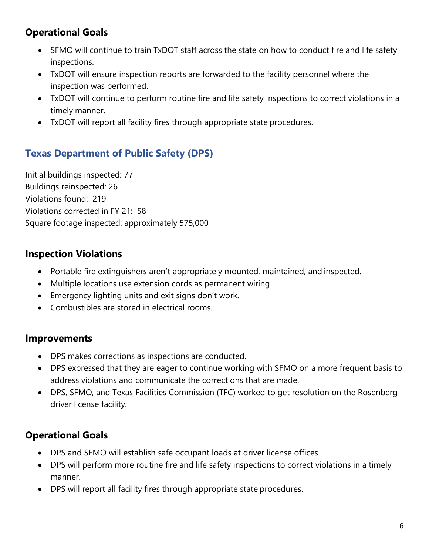# **Operational Goals**

- SFMO will continue to train TxDOT staff across the state on how to conduct fire and life safety inspections.
- TxDOT will ensure inspection reports are forwarded to the facility personnel where the inspection was performed.
- TxDOT will continue to perform routine fire and life safety inspections to correct violations in a timely manner.
- TxDOT will report all facility fires through appropriate state procedures.

# **Texas Department of Public Safety (DPS)**

Initial buildings inspected: 77 Buildings reinspected: 26 Violations found: 219 Violations corrected in FY 21: 58 Square footage inspected: approximately 575,000

# **Inspection Violations**

- Portable fire extinguishers aren't appropriately mounted, maintained, and inspected.
- Multiple locations use extension cords as permanent wiring.
- Emergency lighting units and exit signs don't work.
- Combustibles are stored in electrical rooms.

#### **Improvements**

- DPS makes corrections as inspections are conducted.
- DPS expressed that they are eager to continue working with SFMO on a more frequent basis to address violations and communicate the corrections that are made.
- DPS, SFMO, and Texas Facilities Commission (TFC) worked to get resolution on the Rosenberg driver license facility.

- DPS and SFMO will establish safe occupant loads at driver license offices.
- DPS will perform more routine fire and life safety inspections to correct violations in a timely manner.
- DPS will report all facility fires through appropriate state procedures.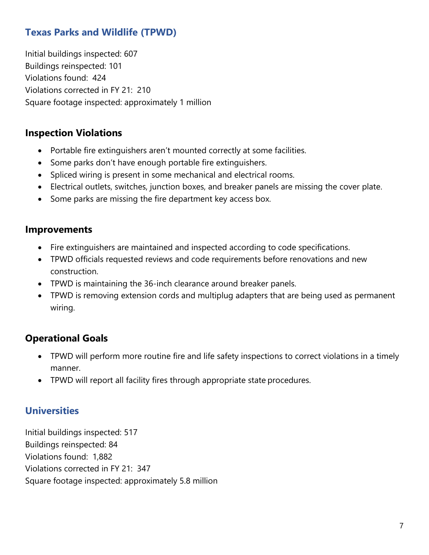# **Texas Parks and Wildlife (TPWD)**

Initial buildings inspected: 607 Buildings reinspected: 101 Violations found: 424 Violations corrected in FY 21: 210 Square footage inspected: approximately 1 million

#### **Inspection Violations**

- Portable fire extinguishers aren't mounted correctly at some facilities.
- Some parks don't have enough portable fire extinguishers.
- Spliced wiring is present in some mechanical and electrical rooms.
- Electrical outlets, switches, junction boxes, and breaker panels are missing the cover plate.
- Some parks are missing the fire department key access box.

#### **Improvements**

- Fire extinguishers are maintained and inspected according to code specifications.
- TPWD officials requested reviews and code requirements before renovations and new construction.
- TPWD is maintaining the 36-inch clearance around breaker panels.
- TPWD is removing extension cords and multiplug adapters that are being used as permanent wiring.

### **Operational Goals**

- TPWD will perform more routine fire and life safety inspections to correct violations in a timely manner.
- TPWD will report all facility fires through appropriate state procedures.

#### **Universities**

Initial buildings inspected: 517 Buildings reinspected: 84 Violations found: 1,882 Violations corrected in FY 21: 347 Square footage inspected: approximately 5.8 million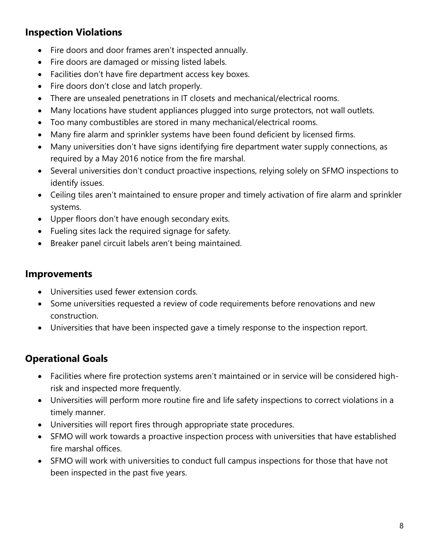# **Inspection Violations**

- Fire doors and door frames aren't inspected annually.
- Fire doors are damaged or missing listed labels.
- Facilities don't have fire department access key boxes.
- Fire doors don't close and latch properly.
- There are unsealed penetrations in IT closets and mechanical/electrical rooms.
- Many locations have student appliances plugged into surge protectors, not wall outlets.
- Too many combustibles are stored in many mechanical/electrical rooms.
- Many fire alarm and sprinkler systems have been found deficient by licensed firms.
- Many universities don't have signs identifying fire department water supply connections, as required by a May 2016 notice from the fire marshal.
- Several universities don't conduct proactive inspections, relying solely on SFMO inspections to identify issues.
- Ceiling tiles aren't maintained to ensure proper and timely activation of fire alarm and sprinkler systems.
- Upper floors don't have enough secondary exits.
- Fueling sites lack the required signage for safety.
- Breaker panel circuit labels aren't being maintained.

### **Improvements**

- Universities used fewer extension cords.
- Some universities requested a review of code requirements before renovations and new construction.
- Universities that have been inspected gave a timely response to the inspection report.

- Facilities where fire protection systems aren't maintained or in service will be considered highrisk and inspected more frequently.
- Universities will perform more routine fire and life safety inspections to correct violations in a timely manner.
- Universities will report fires through appropriate state procedures.
- SFMO will work towards a proactive inspection process with universities that have established fire marshal offices.
- SFMO will work with universities to conduct full campus inspections for those that have not been inspected in the past five years.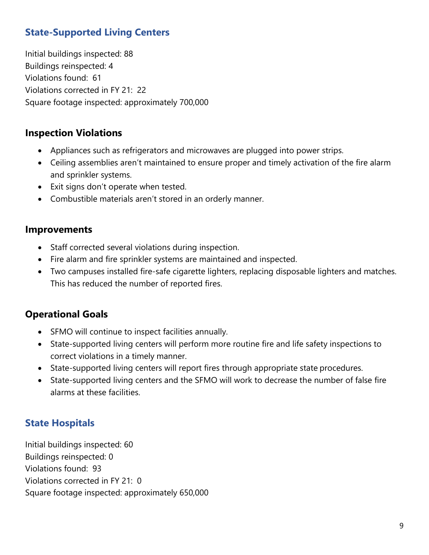# **State-Supported Living Centers**

Initial buildings inspected: 88 Buildings reinspected: 4 Violations found: 61 Violations corrected in FY 21: 22 Square footage inspected: approximately 700,000

### **Inspection Violations**

- Appliances such as refrigerators and microwaves are plugged into power strips.
- Ceiling assemblies aren't maintained to ensure proper and timely activation of the fire alarm and sprinkler systems.
- Exit signs don't operate when tested.
- Combustible materials aren't stored in an orderly manner.

#### **Improvements**

- Staff corrected several violations during inspection.
- Fire alarm and fire sprinkler systems are maintained and inspected.
- Two campuses installed fire-safe cigarette lighters, replacing disposable lighters and matches. This has reduced the number of reported fires.

### **Operational Goals**

- SFMO will continue to inspect facilities annually.
- State-supported living centers will perform more routine fire and life safety inspections to correct violations in a timely manner.
- State-supported living centers will report fires through appropriate state procedures.
- State-supported living centers and the SFMO will work to decrease the number of false fire alarms at these facilities.

# **State Hospitals**

Initial buildings inspected: 60 Buildings reinspected: 0 Violations found: 93 Violations corrected in FY 21: 0 Square footage inspected: approximately 650,000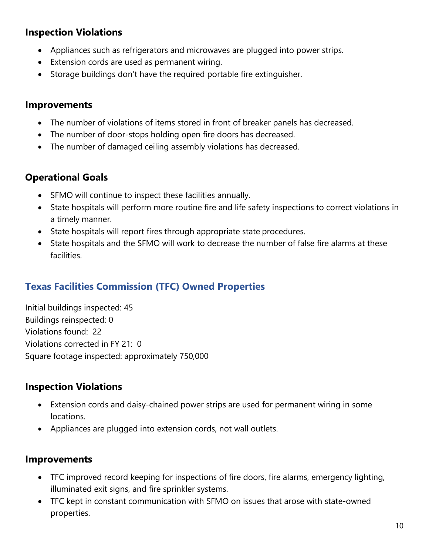# **Inspection Violations**

- Appliances such as refrigerators and microwaves are plugged into power strips.
- Extension cords are used as permanent wiring.
- Storage buildings don't have the required portable fire extinguisher.

#### **Improvements**

- The number of violations of items stored in front of breaker panels has decreased.
- The number of door-stops holding open fire doors has decreased.
- The number of damaged ceiling assembly violations has decreased.

#### **Operational Goals**

- SFMO will continue to inspect these facilities annually.
- State hospitals will perform more routine fire and life safety inspections to correct violations in a timely manner.
- State hospitals will report fires through appropriate state procedures.
- State hospitals and the SFMO will work to decrease the number of false fire alarms at these facilities.

# **Texas Facilities Commission (TFC) Owned Properties**

Initial buildings inspected: 45 Buildings reinspected: 0 Violations found: 22 Violations corrected in FY 21: 0 Square footage inspected: approximately 750,000

### **Inspection Violations**

- Extension cords and daisy-chained power strips are used for permanent wiring in some locations.
- Appliances are plugged into extension cords, not wall outlets.

#### **Improvements**

- TFC improved record keeping for inspections of fire doors, fire alarms, emergency lighting, illuminated exit signs, and fire sprinkler systems.
- TFC kept in constant communication with SFMO on issues that arose with state-owned properties.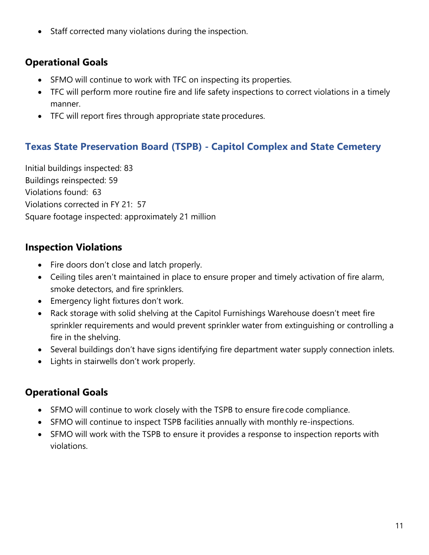• Staff corrected many violations during the inspection.

# **Operational Goals**

- SFMO will continue to work with TFC on inspecting its properties.
- TFC will perform more routine fire and life safety inspections to correct violations in a timely manner.
- TFC will report fires through appropriate state procedures.

# **Texas State Preservation Board (TSPB) - Capitol Complex and State Cemetery**

Initial buildings inspected: 83 Buildings reinspected: 59 Violations found: 63 Violations corrected in FY 21: 57 Square footage inspected: approximately 21 million

# **Inspection Violations**

- Fire doors don't close and latch properly.
- Ceiling tiles aren't maintained in place to ensure proper and timely activation of fire alarm, smoke detectors, and fire sprinklers.
- Emergency light fixtures don't work.
- Rack storage with solid shelving at the Capitol Furnishings Warehouse doesn't meet fire sprinkler requirements and would prevent sprinkler water from extinguishing or controlling a fire in the shelving.
- Several buildings don't have signs identifying fire department water supply connection inlets.
- Lights in stairwells don't work properly.

- SFMO will continue to work closely with the TSPB to ensure fire code compliance.
- SFMO will continue to inspect TSPB facilities annually with monthly re-inspections.
- SFMO will work with the TSPB to ensure it provides a response to inspection reports with violations.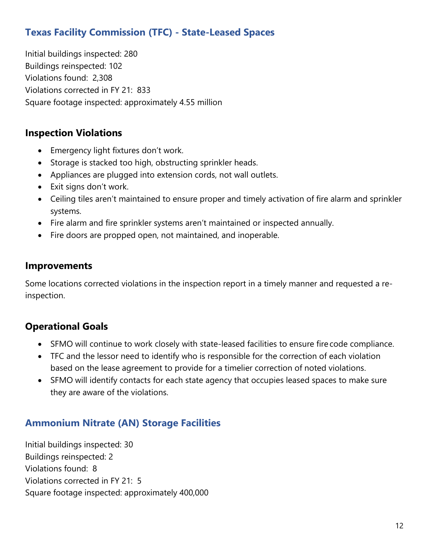# **Texas Facility Commission (TFC) - State-Leased Spaces**

Initial buildings inspected: 280 Buildings reinspected: 102 Violations found: 2,308 Violations corrected in FY 21: 833 Square footage inspected: approximately 4.55 million

### **Inspection Violations**

- Emergency light fixtures don't work.
- Storage is stacked too high, obstructing sprinkler heads.
- Appliances are plugged into extension cords, not wall outlets.
- Exit signs don't work.
- Ceiling tiles aren't maintained to ensure proper and timely activation of fire alarm and sprinkler systems.
- Fire alarm and fire sprinkler systems aren't maintained or inspected annually.
- Fire doors are propped open, not maintained, and inoperable.

#### **Improvements**

Some locations corrected violations in the inspection report in a timely manner and requested a reinspection.

# **Operational Goals**

- SFMO will continue to work closely with state-leased facilities to ensure fire code compliance.
- TFC and the lessor need to identify who is responsible for the correction of each violation based on the lease agreement to provide for a timelier correction of noted violations.
- SFMO will identify contacts for each state agency that occupies leased spaces to make sure they are aware of the violations.

# **Ammonium Nitrate (AN) Storage Facilities**

Initial buildings inspected: 30 Buildings reinspected: 2 Violations found: 8 Violations corrected in FY 21: 5 Square footage inspected: approximately 400,000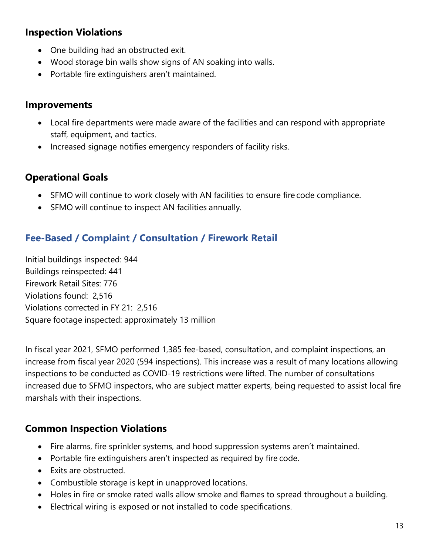# **Inspection Violations**

- One building had an obstructed exit.
- Wood storage bin walls show signs of AN soaking into walls.
- Portable fire extinguishers aren't maintained.

#### **Improvements**

- Local fire departments were made aware of the facilities and can respond with appropriate staff, equipment, and tactics.
- Increased signage notifies emergency responders of facility risks.

### **Operational Goals**

- SFMO will continue to work closely with AN facilities to ensure fire code compliance.
- SFMO will continue to inspect AN facilities annually.

# **Fee-Based / Complaint / Consultation / Firework Retail**

Initial buildings inspected: 944 Buildings reinspected: 441 Firework Retail Sites: 776 Violations found: 2,516 Violations corrected in FY 21: 2,516 Square footage inspected: approximately 13 million

In fiscal year 2021, SFMO performed 1,385 fee-based, consultation, and complaint inspections, an increase from fiscal year 2020 (594 inspections). This increase was a result of many locations allowing inspections to be conducted as COVID-19 restrictions were lifted. The number of consultations increased due to SFMO inspectors, who are subject matter experts, being requested to assist local fire marshals with their inspections.

# **Common Inspection Violations**

- Fire alarms, fire sprinkler systems, and hood suppression systems aren't maintained.
- Portable fire extinguishers aren't inspected as required by fire code.
- Exits are obstructed.
- Combustible storage is kept in unapproved locations.
- Holes in fire or smoke rated walls allow smoke and flames to spread throughout a building.
- Electrical wiring is exposed or not installed to code specifications.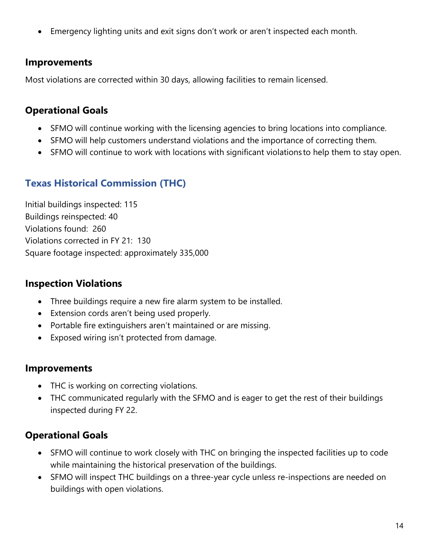• Emergency lighting units and exit signs don't work or aren't inspected each month.

### **Improvements**

Most violations are corrected within 30 days, allowing facilities to remain licensed.

# **Operational Goals**

- SFMO will continue working with the licensing agencies to bring locations into compliance.
- SFMO will help customers understand violations and the importance of correcting them.
- SFMO will continue to work with locations with significant violations to help them to stay open.

# **Texas Historical Commission (THC)**

Initial buildings inspected: 115 Buildings reinspected: 40 Violations found: 260 Violations corrected in FY 21: 130 Square footage inspected: approximately 335,000

### **Inspection Violations**

- Three buildings require a new fire alarm system to be installed.
- Extension cords aren't being used properly.
- Portable fire extinguishers aren't maintained or are missing.
- Exposed wiring isn't protected from damage.

### **Improvements**

- THC is working on correcting violations.
- THC communicated regularly with the SFMO and is eager to get the rest of their buildings inspected during FY 22.

- SFMO will continue to work closely with THC on bringing the inspected facilities up to code while maintaining the historical preservation of the buildings.
- SFMO will inspect THC buildings on a three-year cycle unless re-inspections are needed on buildings with open violations.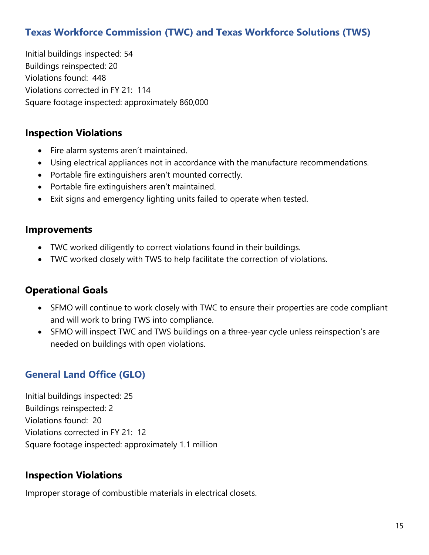# **Texas Workforce Commission (TWC) and Texas Workforce Solutions (TWS)**

Initial buildings inspected: 54 Buildings reinspected: 20 Violations found: 448 Violations corrected in FY 21: 114 Square footage inspected: approximately 860,000

#### **Inspection Violations**

- Fire alarm systems aren't maintained.
- Using electrical appliances not in accordance with the manufacture recommendations.
- Portable fire extinguishers aren't mounted correctly.
- Portable fire extinguishers aren't maintained.
- Exit signs and emergency lighting units failed to operate when tested.

#### **Improvements**

- TWC worked diligently to correct violations found in their buildings.
- TWC worked closely with TWS to help facilitate the correction of violations.

#### **Operational Goals**

- SFMO will continue to work closely with TWC to ensure their properties are code compliant and will work to bring TWS into compliance.
- SFMO will inspect TWC and TWS buildings on a three-year cycle unless reinspection's are needed on buildings with open violations.

# **General Land Office (GLO)**

Initial buildings inspected: 25 Buildings reinspected: 2 Violations found: 20 Violations corrected in FY 21: 12 Square footage inspected: approximately 1.1 million

### **Inspection Violations**

Improper storage of combustible materials in electrical closets.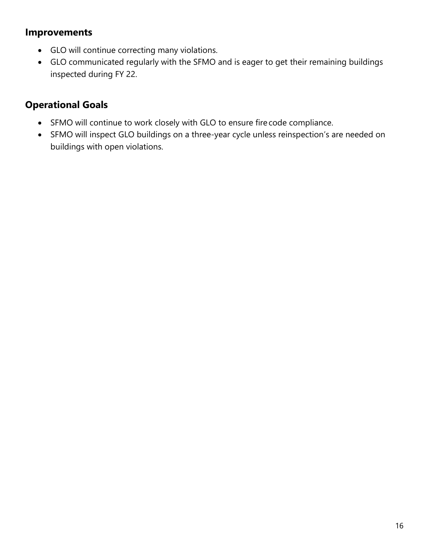### **Improvements**

- GLO will continue correcting many violations.
- GLO communicated regularly with the SFMO and is eager to get their remaining buildings inspected during FY 22.

- SFMO will continue to work closely with GLO to ensure fire code compliance.
- SFMO will inspect GLO buildings on a three-year cycle unless reinspection's are needed on buildings with open violations.